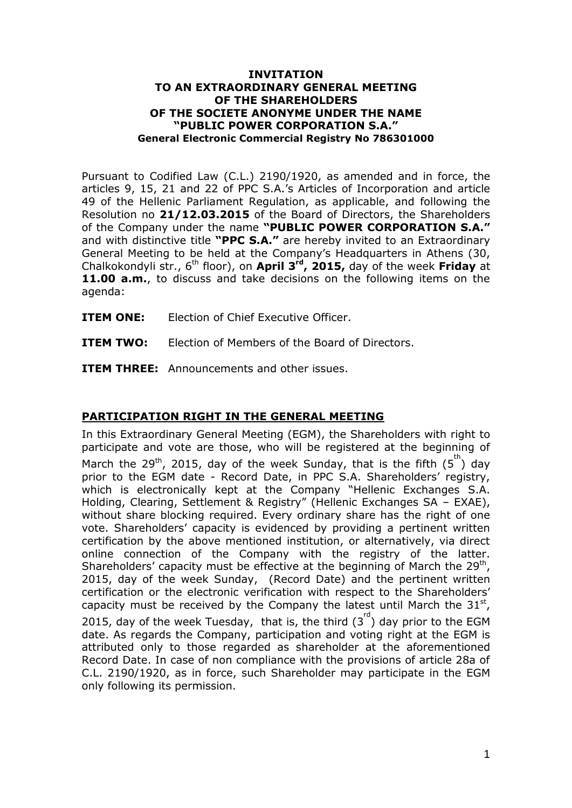#### **INVITATION TO AN EXTRAORDINARY GENERAL MEETING OF THE SHAREHOLDERS OF THE SOCIETE ANONYME UNDER THE NAME "PUBLIC POWER CORPORATION S.A." General Electronic Commercial Registry No 786301000**

Pursuant to Codified Law (C.L.) 2190/1920, as amended and in force, the articles 9, 15, 21 and 22 of PPC S.A.'s Articles of Incorporation and article 49 of the Hellenic Parliament Regulation, as applicable, and following the Resolution no **21/12.03.2015** of the Board of Directors, the Shareholders of the Company under the name **"PUBLIC POWER CORPORATION S.A."** and with distinctive title **"PPC S.A."** are hereby invited to an Extraordinary General Meeting to be held at the Company's Headquarters in Athens (30, Chalkokondyli str., 6th floor), on **April 3rd , 2015,** day of the week **Friday** at **11.00 a.m.**, to discuss and take decisions on the following items on the agenda:

**ITEM ONE:** Election of Chief Executive Officer.

**ITEM TWO:** Election of Members of the Board of Directors.

**ITEM THREE:** Announcements and other issues.

### **PARTICIPATION RIGHT IN THE GENERAL MEETING**

In this Extraordinary General Meeting (EGM), the Shareholders with right to participate and vote are those, who will be registered at the beginning of March the 29<sup>th</sup>, 2015, day of the week Sunday, that is the fifth  $(5^{\text{th}})$  day prior to the EGM date - Record Date, in PPC S.A. Shareholders' registry, which is electronically kept at the Company "Hellenic Exchanges S.A. Holding, Clearing, Settlement & Registry" (Hellenic Exchanges SA – EXAE), without share blocking required. Every ordinary share has the right of one vote. Shareholders' capacity is evidenced by providing a pertinent written certification by the above mentioned institution, or alternatively, via direct online connection of the Company with the registry of the latter. Shareholders' capacity must be effective at the beginning of March the  $29<sup>th</sup>$ , 2015, day of the week Sunday, (Record Date) and the pertinent written certification or the electronic verification with respect to the Shareholders' capacity must be received by the Company the latest until March the  $31<sup>st</sup>$ , 2015, day of the week Tuesday, that is, the third  $(3^{rd})$  day prior to the EGM date. As regards the Company, participation and voting right at the EGM is attributed only to those regarded as shareholder at the aforementioned Record Date. In case of non compliance with the provisions of article 28a of C.L. 2190/1920, as in force, such Shareholder may participate in the EGM only following its permission.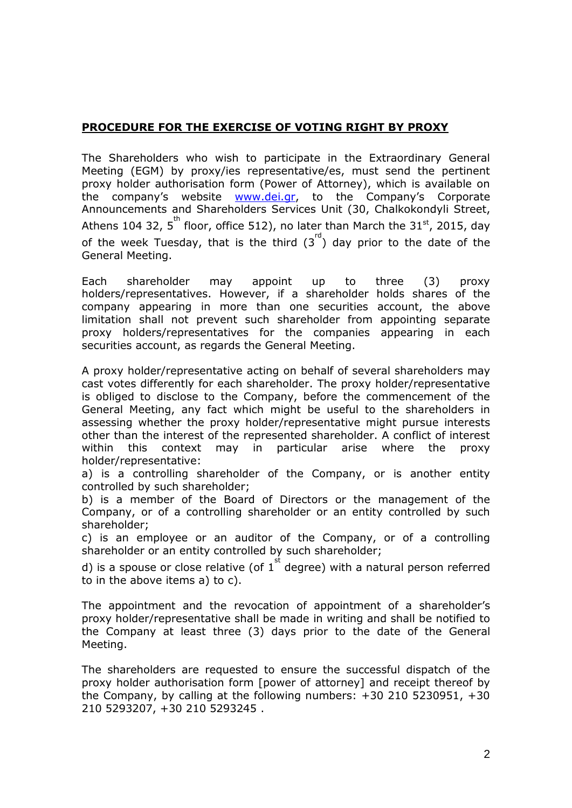### **PROCEDURE FOR THE EXERCISE OF VOTING RIGHT BY PROXY**

The Shareholders who wish to participate in the Extraordinary General Meeting (EGM) by proxy/ies representative/es, must send the pertinent proxy holder authorisation form (Power of Attorney), which is available on the company's website [www.dei.gr,](http://www.dei.gr/) to the Company's Corporate Announcements and Shareholders Services Unit (30, Chalkokondyli Street, Athens 104 32,  $5^{\text{th}}$  floor, office 512), no later than March the 31<sup>st</sup>, 2015, day of the week Tuesday, that is the third  $(3^{rd})$  day prior to the date of the General Meeting.

Each shareholder may appoint up to three (3) proxy holders/representatives. However, if a shareholder holds shares of the company appearing in more than one securities account, the above limitation shall not prevent such shareholder from appointing separate proxy holders/representatives for the companies appearing in each securities account, as regards the General Meeting.

A proxy holder/representative acting on behalf of several shareholders may cast votes differently for each shareholder. The proxy holder/representative is obliged to disclose to the Company, before the commencement of the General Meeting, any fact which might be useful to the shareholders in assessing whether the proxy holder/representative might pursue interests other than the interest of the represented shareholder. A conflict of interest within this context may in particular arise where the proxy holder/representative:

a) is a controlling shareholder of the Company, or is another entity controlled by such shareholder;

b) is a member of the Board of Directors or the management of the Company, or of a controlling shareholder or an entity controlled by such shareholder;

c) is an employee or an auditor of the Company, or of a controlling shareholder or an entity controlled by such shareholder;

d) is a spouse or close relative (of  $1<sup>st</sup>$  degree) with a natural person referred to in the above items a) to c).

The appointment and the revocation of appointment of a shareholder's proxy holder/representative shall be made in writing and shall be notified to the Company at least three (3) days prior to the date of the General Meeting.

The shareholders are requested to ensure the successful dispatch of the proxy holder authorisation form [power of attorney] and receipt thereof by the Company, by calling at the following numbers:  $+30$  210 5230951,  $+30$ 210 5293207, +30 210 5293245 .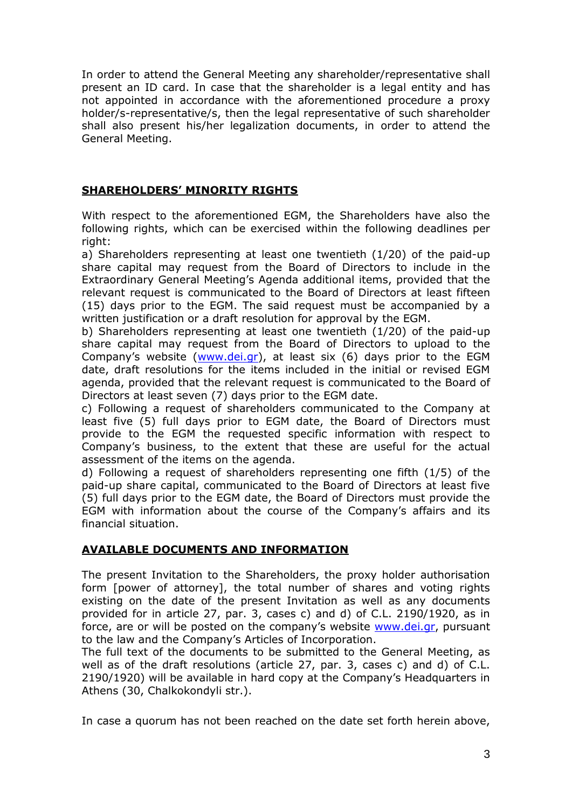In order to attend the General Meeting any shareholder/representative shall present an ID card. In case that the shareholder is a legal entity and has not appointed in accordance with the aforementioned procedure a proxy holder/s-representative/s, then the legal representative of such shareholder shall also present his/her legalization documents, in order to attend the General Meeting.

# **SHAREHOLDERS' MINORITY RIGHTS**

With respect to the aforementioned EGM, the Shareholders have also the following rights, which can be exercised within the following deadlines per right:

a) Shareholders representing at least one twentieth (1/20) of the paid-up share capital may request from the Board of Directors to include in the Extraordinary General Meeting's Agenda additional items, provided that the relevant request is communicated to the Board of Directors at least fifteen (15) days prior to the EGM. The said request must be accompanied by a written justification or a draft resolution for approval by the EGM.

b) Shareholders representing at least one twentieth (1/20) of the paid-up share capital may request from the Board of Directors to upload to the Company's website ([www.dei.gr\)](http://www.dei.gr/), at least six (6) days prior to the EGM date, draft resolutions for the items included in the initial or revised EGM agenda, provided that the relevant request is communicated to the Board of Directors at least seven (7) days prior to the EGM date.

c) Following a request of shareholders communicated to the Company at least five (5) full days prior to EGM date, the Board of Directors must provide to the EGM the requested specific information with respect to Company's business, to the extent that these are useful for the actual assessment of the items on the agenda.

d) Following a request of shareholders representing one fifth (1/5) of the paid-up share capital, communicated to the Board of Directors at least five (5) full days prior to the EGM date, the Board of Directors must provide the EGM with information about the course of the Company's affairs and its financial situation.

## **AVAILABLE DOCUMENTS AND INFORMATION**

The present Invitation to the Shareholders, the proxy holder authorisation form [power of attorney], the total number of shares and voting rights existing on the date of the present Invitation as well as any documents provided for in article 27, par. 3, cases c) and d) of C.L. 2190/1920, as in force, are or will be posted on the company's website [www.dei.gr,](http://www.dei.gr/) pursuant to the law and the Company's Articles of Incorporation.

The full text of the documents to be submitted to the General Meeting, as well as of the draft resolutions (article 27, par. 3, cases c) and d) of C.L. 2190/1920) will be available in hard copy at the Company's Headquarters in Athens (30, Chalkokondyli str.).

In case a quorum has not been reached on the date set forth herein above,